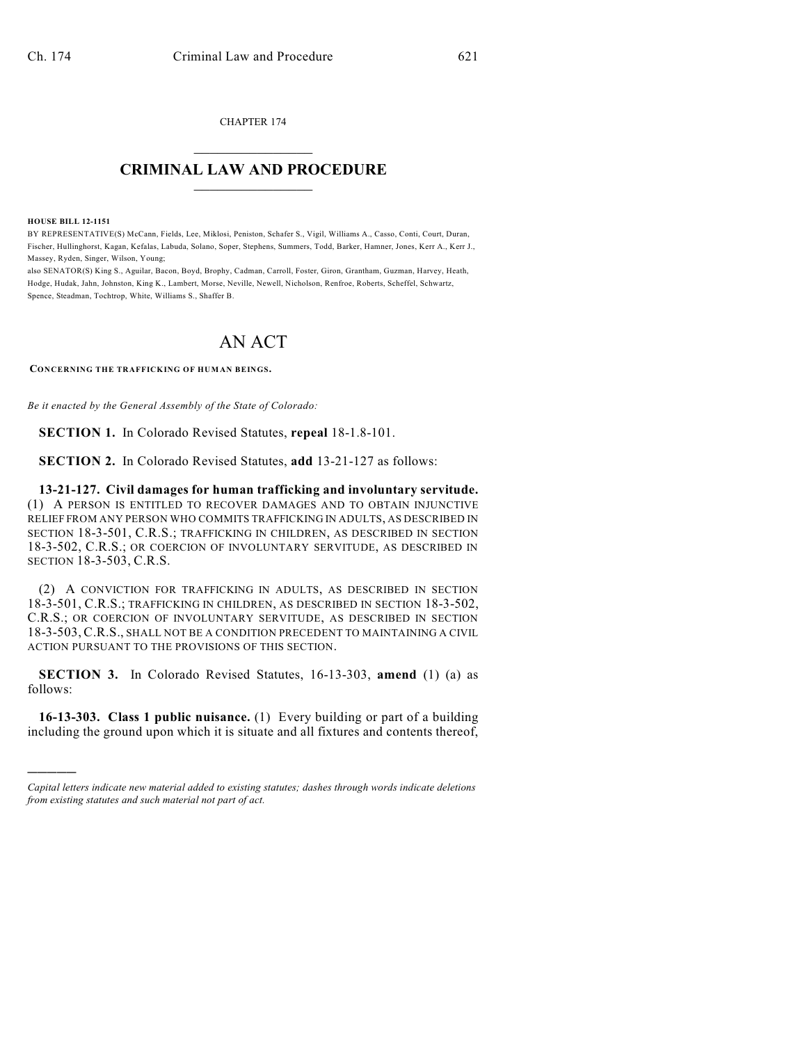CHAPTER 174  $\overline{\phantom{a}}$  . The set of the set of the set of the set of the set of the set of the set of the set of the set of the set of the set of the set of the set of the set of the set of the set of the set of the set of the set o

## **CRIMINAL LAW AND PROCEDURE**  $\frac{1}{2}$  ,  $\frac{1}{2}$  ,  $\frac{1}{2}$  ,  $\frac{1}{2}$  ,  $\frac{1}{2}$  ,  $\frac{1}{2}$  ,  $\frac{1}{2}$

**HOUSE BILL 12-1151**

)))))

BY REPRESENTATIVE(S) McCann, Fields, Lee, Miklosi, Peniston, Schafer S., Vigil, Williams A., Casso, Conti, Court, Duran, Fischer, Hullinghorst, Kagan, Kefalas, Labuda, Solano, Soper, Stephens, Summers, Todd, Barker, Hamner, Jones, Kerr A., Kerr J., Massey, Ryden, Singer, Wilson, Young;

also SENATOR(S) King S., Aguilar, Bacon, Boyd, Brophy, Cadman, Carroll, Foster, Giron, Grantham, Guzman, Harvey, Heath, Hodge, Hudak, Jahn, Johnston, King K., Lambert, Morse, Neville, Newell, Nicholson, Renfroe, Roberts, Scheffel, Schwartz, Spence, Steadman, Tochtrop, White, Williams S., Shaffer B.

## AN ACT

**CONCERNING THE TRAFFICKING OF HUMAN BEINGS.**

*Be it enacted by the General Assembly of the State of Colorado:*

**SECTION 1.** In Colorado Revised Statutes, **repeal** 18-1.8-101.

**SECTION 2.** In Colorado Revised Statutes, **add** 13-21-127 as follows:

**13-21-127. Civil damages for human trafficking and involuntary servitude.** (1) A PERSON IS ENTITLED TO RECOVER DAMAGES AND TO OBTAIN INJUNCTIVE RELIEF FROM ANY PERSON WHO COMMITS TRAFFICKING IN ADULTS, AS DESCRIBED IN SECTION 18-3-501, C.R.S.; TRAFFICKING IN CHILDREN, AS DESCRIBED IN SECTION 18-3-502, C.R.S.; OR COERCION OF INVOLUNTARY SERVITUDE, AS DESCRIBED IN SECTION 18-3-503, C.R.S.

(2) A CONVICTION FOR TRAFFICKING IN ADULTS, AS DESCRIBED IN SECTION 18-3-501, C.R.S.; TRAFFICKING IN CHILDREN, AS DESCRIBED IN SECTION 18-3-502, C.R.S.; OR COERCION OF INVOLUNTARY SERVITUDE, AS DESCRIBED IN SECTION 18-3-503, C.R.S., SHALL NOT BE A CONDITION PRECEDENT TO MAINTAINING A CIVIL ACTION PURSUANT TO THE PROVISIONS OF THIS SECTION.

**SECTION 3.** In Colorado Revised Statutes, 16-13-303, **amend** (1) (a) as follows:

**16-13-303. Class 1 public nuisance.** (1) Every building or part of a building including the ground upon which it is situate and all fixtures and contents thereof,

*Capital letters indicate new material added to existing statutes; dashes through words indicate deletions from existing statutes and such material not part of act.*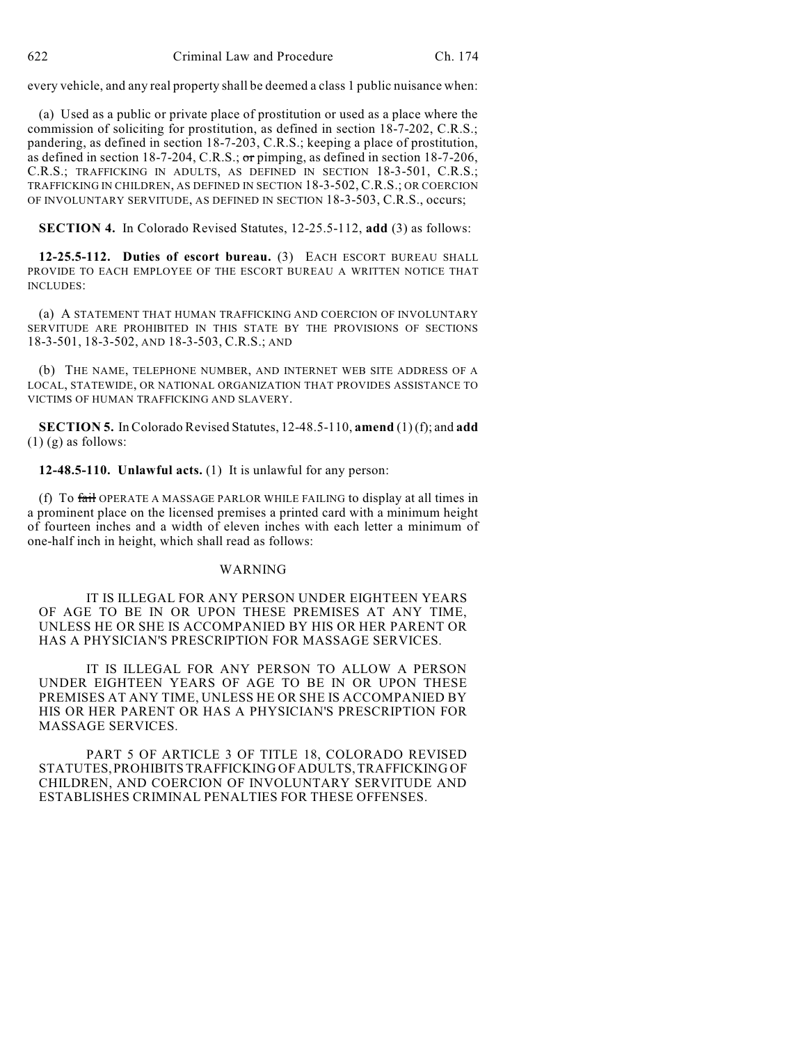every vehicle, and any real property shall be deemed a class 1 public nuisance when:

(a) Used as a public or private place of prostitution or used as a place where the commission of soliciting for prostitution, as defined in section 18-7-202, C.R.S.; pandering, as defined in section 18-7-203, C.R.S.; keeping a place of prostitution, as defined in section 18-7-204, C.R.S.; or pimping, as defined in section 18-7-206, C.R.S.; TRAFFICKING IN ADULTS, AS DEFINED IN SECTION 18-3-501, C.R.S.; TRAFFICKING IN CHILDREN, AS DEFINED IN SECTION 18-3-502, C.R.S.; OR COERCION OF INVOLUNTARY SERVITUDE, AS DEFINED IN SECTION 18-3-503, C.R.S., occurs;

**SECTION 4.** In Colorado Revised Statutes, 12-25.5-112, **add** (3) as follows:

**12-25.5-112. Duties of escort bureau.** (3) EACH ESCORT BUREAU SHALL PROVIDE TO EACH EMPLOYEE OF THE ESCORT BUREAU A WRITTEN NOTICE THAT INCLUDES:

(a) A STATEMENT THAT HUMAN TRAFFICKING AND COERCION OF INVOLUNTARY SERVITUDE ARE PROHIBITED IN THIS STATE BY THE PROVISIONS OF SECTIONS 18-3-501, 18-3-502, AND 18-3-503, C.R.S.; AND

(b) THE NAME, TELEPHONE NUMBER, AND INTERNET WEB SITE ADDRESS OF A LOCAL, STATEWIDE, OR NATIONAL ORGANIZATION THAT PROVIDES ASSISTANCE TO VICTIMS OF HUMAN TRAFFICKING AND SLAVERY.

**SECTION 5.** In Colorado Revised Statutes, 12-48.5-110, **amend** (1) (f); and **add**  $(1)$  (g) as follows:

**12-48.5-110. Unlawful acts.** (1) It is unlawful for any person:

(f) To fail OPERATE A MASSAGE PARLOR WHILE FAILING to display at all times in a prominent place on the licensed premises a printed card with a minimum height of fourteen inches and a width of eleven inches with each letter a minimum of one-half inch in height, which shall read as follows:

## WARNING

IT IS ILLEGAL FOR ANY PERSON UNDER EIGHTEEN YEARS OF AGE TO BE IN OR UPON THESE PREMISES AT ANY TIME, UNLESS HE OR SHE IS ACCOMPANIED BY HIS OR HER PARENT OR HAS A PHYSICIAN'S PRESCRIPTION FOR MASSAGE SERVICES.

IT IS ILLEGAL FOR ANY PERSON TO ALLOW A PERSON UNDER EIGHTEEN YEARS OF AGE TO BE IN OR UPON THESE PREMISES AT ANY TIME, UNLESS HE OR SHE IS ACCOMPANIED BY HIS OR HER PARENT OR HAS A PHYSICIAN'S PRESCRIPTION FOR MASSAGE SERVICES.

PART 5 OF ARTICLE 3 OF TITLE 18, COLORADO REVISED STATUTES,PROHIBITSTRAFFICKING OFADULTS,TRAFFICKING OF CHILDREN, AND COERCION OF INVOLUNTARY SERVITUDE AND ESTABLISHES CRIMINAL PENALTIES FOR THESE OFFENSES.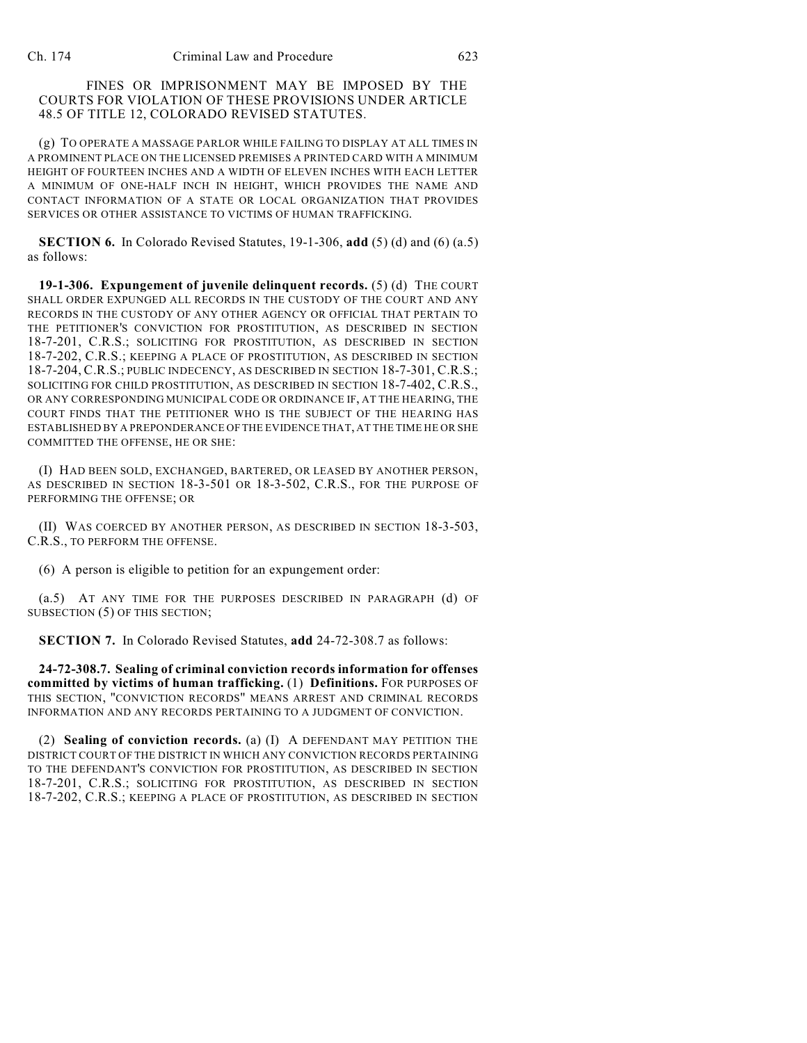FINES OR IMPRISONMENT MAY BE IMPOSED BY THE COURTS FOR VIOLATION OF THESE PROVISIONS UNDER ARTICLE 48.5 OF TITLE 12, COLORADO REVISED STATUTES.

(g) TO OPERATE A MASSAGE PARLOR WHILE FAILING TO DISPLAY AT ALL TIMES IN A PROMINENT PLACE ON THE LICENSED PREMISES A PRINTED CARD WITH A MINIMUM HEIGHT OF FOURTEEN INCHES AND A WIDTH OF ELEVEN INCHES WITH EACH LETTER A MINIMUM OF ONE-HALF INCH IN HEIGHT, WHICH PROVIDES THE NAME AND CONTACT INFORMATION OF A STATE OR LOCAL ORGANIZATION THAT PROVIDES SERVICES OR OTHER ASSISTANCE TO VICTIMS OF HUMAN TRAFFICKING.

**SECTION 6.** In Colorado Revised Statutes, 19-1-306, **add** (5) (d) and (6) (a.5) as follows:

**19-1-306. Expungement of juvenile delinquent records.** (5) (d) THE COURT SHALL ORDER EXPUNGED ALL RECORDS IN THE CUSTODY OF THE COURT AND ANY RECORDS IN THE CUSTODY OF ANY OTHER AGENCY OR OFFICIAL THAT PERTAIN TO THE PETITIONER'S CONVICTION FOR PROSTITUTION, AS DESCRIBED IN SECTION 18-7-201, C.R.S.; SOLICITING FOR PROSTITUTION, AS DESCRIBED IN SECTION 18-7-202, C.R.S.; KEEPING A PLACE OF PROSTITUTION, AS DESCRIBED IN SECTION 18-7-204, C.R.S.; PUBLIC INDECENCY, AS DESCRIBED IN SECTION 18-7-301, C.R.S.; SOLICITING FOR CHILD PROSTITUTION, AS DESCRIBED IN SECTION 18-7-402, C.R.S., OR ANY CORRESPONDING MUNICIPAL CODE OR ORDINANCE IF, AT THE HEARING, THE COURT FINDS THAT THE PETITIONER WHO IS THE SUBJECT OF THE HEARING HAS ESTABLISHED BY A PREPONDERANCE OF THE EVIDENCE THAT, AT THE TIME HE OR SHE COMMITTED THE OFFENSE, HE OR SHE:

(I) HAD BEEN SOLD, EXCHANGED, BARTERED, OR LEASED BY ANOTHER PERSON, AS DESCRIBED IN SECTION 18-3-501 OR 18-3-502, C.R.S., FOR THE PURPOSE OF PERFORMING THE OFFENSE; OR

(II) WAS COERCED BY ANOTHER PERSON, AS DESCRIBED IN SECTION 18-3-503, C.R.S., TO PERFORM THE OFFENSE.

(6) A person is eligible to petition for an expungement order:

(a.5) AT ANY TIME FOR THE PURPOSES DESCRIBED IN PARAGRAPH (d) OF SUBSECTION (5) OF THIS SECTION;

**SECTION 7.** In Colorado Revised Statutes, **add** 24-72-308.7 as follows:

**24-72-308.7. Sealing of criminal conviction records information for offenses committed by victims of human trafficking.** (1) **Definitions.** FOR PURPOSES OF THIS SECTION, "CONVICTION RECORDS" MEANS ARREST AND CRIMINAL RECORDS INFORMATION AND ANY RECORDS PERTAINING TO A JUDGMENT OF CONVICTION.

(2) **Sealing of conviction records.** (a) (I) A DEFENDANT MAY PETITION THE DISTRICT COURT OF THE DISTRICT IN WHICH ANY CONVICTION RECORDS PERTAINING TO THE DEFENDANT'S CONVICTION FOR PROSTITUTION, AS DESCRIBED IN SECTION 18-7-201, C.R.S.; SOLICITING FOR PROSTITUTION, AS DESCRIBED IN SECTION 18-7-202, C.R.S.; KEEPING A PLACE OF PROSTITUTION, AS DESCRIBED IN SECTION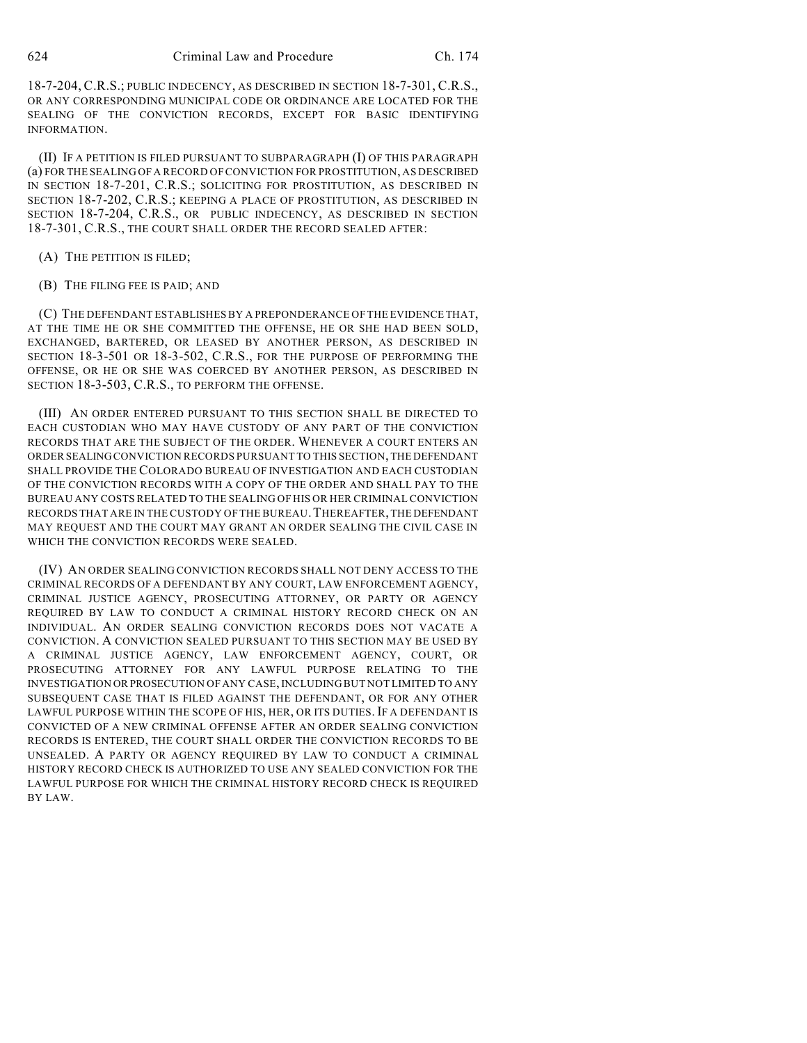18-7-204, C.R.S.; PUBLIC INDECENCY, AS DESCRIBED IN SECTION 18-7-301, C.R.S., OR ANY CORRESPONDING MUNICIPAL CODE OR ORDINANCE ARE LOCATED FOR THE SEALING OF THE CONVICTION RECORDS, EXCEPT FOR BASIC IDENTIFYING INFORMATION.

(II) IF A PETITION IS FILED PURSUANT TO SUBPARAGRAPH (I) OF THIS PARAGRAPH (a) FOR THE SEALING OF A RECORD OF CONVICTION FOR PROSTITUTION, AS DESCRIBED IN SECTION 18-7-201, C.R.S.; SOLICITING FOR PROSTITUTION, AS DESCRIBED IN SECTION 18-7-202, C.R.S.; KEEPING A PLACE OF PROSTITUTION, AS DESCRIBED IN SECTION 18-7-204, C.R.S., OR PUBLIC INDECENCY, AS DESCRIBED IN SECTION 18-7-301, C.R.S., THE COURT SHALL ORDER THE RECORD SEALED AFTER:

- (A) THE PETITION IS FILED;
- (B) THE FILING FEE IS PAID; AND

(C) THE DEFENDANT ESTABLISHES BY A PREPONDERANCE OF THE EVIDENCE THAT, AT THE TIME HE OR SHE COMMITTED THE OFFENSE, HE OR SHE HAD BEEN SOLD, EXCHANGED, BARTERED, OR LEASED BY ANOTHER PERSON, AS DESCRIBED IN SECTION 18-3-501 OR 18-3-502, C.R.S., FOR THE PURPOSE OF PERFORMING THE OFFENSE, OR HE OR SHE WAS COERCED BY ANOTHER PERSON, AS DESCRIBED IN SECTION 18-3-503, C.R.S., TO PERFORM THE OFFENSE.

(III) AN ORDER ENTERED PURSUANT TO THIS SECTION SHALL BE DIRECTED TO EACH CUSTODIAN WHO MAY HAVE CUSTODY OF ANY PART OF THE CONVICTION RECORDS THAT ARE THE SUBJECT OF THE ORDER. WHENEVER A COURT ENTERS AN ORDER SEALING CONVICTION RECORDS PURSUANT TO THIS SECTION, THE DEFENDANT SHALL PROVIDE THE COLORADO BUREAU OF INVESTIGATION AND EACH CUSTODIAN OF THE CONVICTION RECORDS WITH A COPY OF THE ORDER AND SHALL PAY TO THE BUREAU ANY COSTS RELATED TO THE SEALING OF HIS OR HER CRIMINAL CONVICTION RECORDS THAT ARE IN THE CUSTODY OF THE BUREAU.THEREAFTER, THE DEFENDANT MAY REQUEST AND THE COURT MAY GRANT AN ORDER SEALING THE CIVIL CASE IN WHICH THE CONVICTION RECORDS WERE SEALED.

(IV) AN ORDER SEALING CONVICTION RECORDS SHALL NOT DENY ACCESS TO THE CRIMINAL RECORDS OF A DEFENDANT BY ANY COURT, LAW ENFORCEMENT AGENCY, CRIMINAL JUSTICE AGENCY, PROSECUTING ATTORNEY, OR PARTY OR AGENCY REQUIRED BY LAW TO CONDUCT A CRIMINAL HISTORY RECORD CHECK ON AN INDIVIDUAL. AN ORDER SEALING CONVICTION RECORDS DOES NOT VACATE A CONVICTION. A CONVICTION SEALED PURSUANT TO THIS SECTION MAY BE USED BY A CRIMINAL JUSTICE AGENCY, LAW ENFORCEMENT AGENCY, COURT, OR PROSECUTING ATTORNEY FOR ANY LAWFUL PURPOSE RELATING TO THE INVESTIGATION OR PROSECUTION OF ANY CASE, INCLUDING BUT NOT LIMITED TO ANY SUBSEQUENT CASE THAT IS FILED AGAINST THE DEFENDANT, OR FOR ANY OTHER LAWFUL PURPOSE WITHIN THE SCOPE OF HIS, HER, OR ITS DUTIES. IF A DEFENDANT IS CONVICTED OF A NEW CRIMINAL OFFENSE AFTER AN ORDER SEALING CONVICTION RECORDS IS ENTERED, THE COURT SHALL ORDER THE CONVICTION RECORDS TO BE UNSEALED. A PARTY OR AGENCY REQUIRED BY LAW TO CONDUCT A CRIMINAL HISTORY RECORD CHECK IS AUTHORIZED TO USE ANY SEALED CONVICTION FOR THE LAWFUL PURPOSE FOR WHICH THE CRIMINAL HISTORY RECORD CHECK IS REQUIRED BY LAW.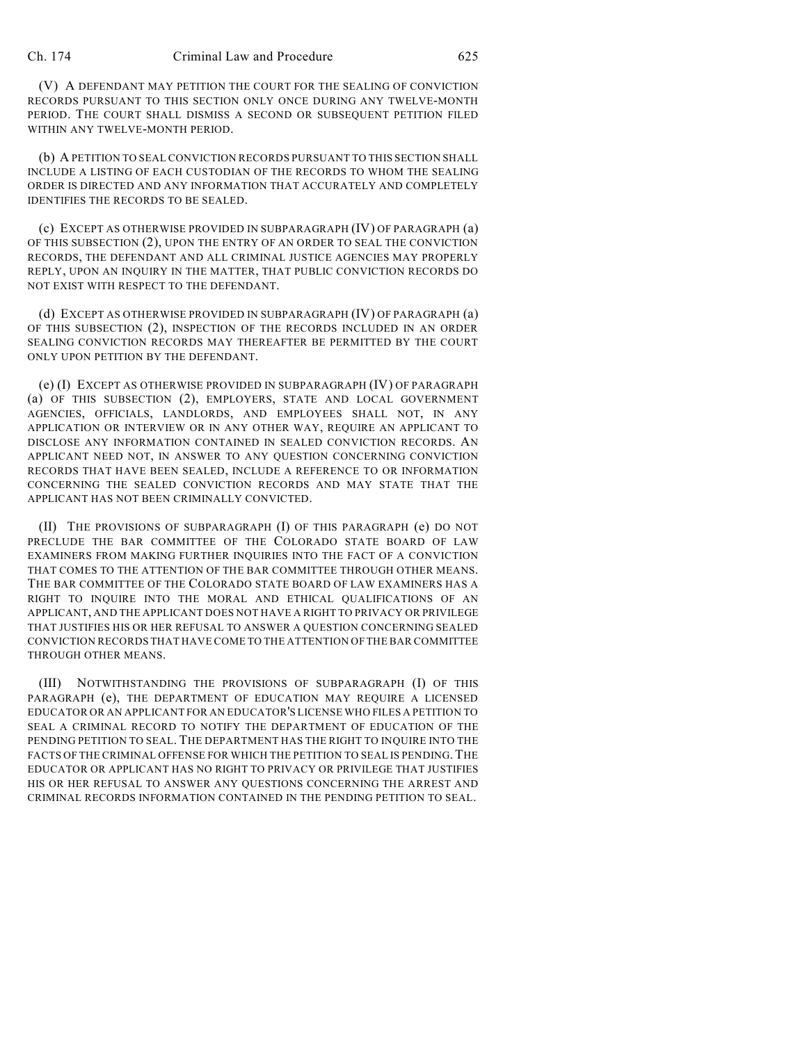(V) A DEFENDANT MAY PETITION THE COURT FOR THE SEALING OF CONVICTION RECORDS PURSUANT TO THIS SECTION ONLY ONCE DURING ANY TWELVE-MONTH PERIOD. THE COURT SHALL DISMISS A SECOND OR SUBSEQUENT PETITION FILED WITHIN ANY TWELVE-MONTH PERIOD.

(b) A PETITION TO SEAL CONVICTION RECORDS PURSUANT TO THIS SECTION SHALL INCLUDE A LISTING OF EACH CUSTODIAN OF THE RECORDS TO WHOM THE SEALING ORDER IS DIRECTED AND ANY INFORMATION THAT ACCURATELY AND COMPLETELY IDENTIFIES THE RECORDS TO BE SEALED.

(c) EXCEPT AS OTHERWISE PROVIDED IN SUBPARAGRAPH (IV) OF PARAGRAPH (a) OF THIS SUBSECTION (2), UPON THE ENTRY OF AN ORDER TO SEAL THE CONVICTION RECORDS, THE DEFENDANT AND ALL CRIMINAL JUSTICE AGENCIES MAY PROPERLY REPLY, UPON AN INQUIRY IN THE MATTER, THAT PUBLIC CONVICTION RECORDS DO NOT EXIST WITH RESPECT TO THE DEFENDANT.

(d) EXCEPT AS OTHERWISE PROVIDED IN SUBPARAGRAPH (IV) OF PARAGRAPH (a) OF THIS SUBSECTION (2), INSPECTION OF THE RECORDS INCLUDED IN AN ORDER SEALING CONVICTION RECORDS MAY THEREAFTER BE PERMITTED BY THE COURT ONLY UPON PETITION BY THE DEFENDANT.

(e) (I) EXCEPT AS OTHERWISE PROVIDED IN SUBPARAGRAPH (IV) OF PARAGRAPH (a) OF THIS SUBSECTION (2), EMPLOYERS, STATE AND LOCAL GOVERNMENT AGENCIES, OFFICIALS, LANDLORDS, AND EMPLOYEES SHALL NOT, IN ANY APPLICATION OR INTERVIEW OR IN ANY OTHER WAY, REQUIRE AN APPLICANT TO DISCLOSE ANY INFORMATION CONTAINED IN SEALED CONVICTION RECORDS. AN APPLICANT NEED NOT, IN ANSWER TO ANY QUESTION CONCERNING CONVICTION RECORDS THAT HAVE BEEN SEALED, INCLUDE A REFERENCE TO OR INFORMATION CONCERNING THE SEALED CONVICTION RECORDS AND MAY STATE THAT THE APPLICANT HAS NOT BEEN CRIMINALLY CONVICTED.

(II) THE PROVISIONS OF SUBPARAGRAPH (I) OF THIS PARAGRAPH (e) DO NOT PRECLUDE THE BAR COMMITTEE OF THE COLORADO STATE BOARD OF LAW EXAMINERS FROM MAKING FURTHER INQUIRIES INTO THE FACT OF A CONVICTION THAT COMES TO THE ATTENTION OF THE BAR COMMITTEE THROUGH OTHER MEANS. THE BAR COMMITTEE OF THE COLORADO STATE BOARD OF LAW EXAMINERS HAS A RIGHT TO INQUIRE INTO THE MORAL AND ETHICAL QUALIFICATIONS OF AN APPLICANT, AND THE APPLICANT DOES NOT HAVE A RIGHT TO PRIVACY OR PRIVILEGE THAT JUSTIFIES HIS OR HER REFUSAL TO ANSWER A QUESTION CONCERNING SEALED CONVICTION RECORDS THAT HAVE COME TO THE ATTENTION OF THE BAR COMMITTEE THROUGH OTHER MEANS.

(III) NOTWITHSTANDING THE PROVISIONS OF SUBPARAGRAPH (I) OF THIS PARAGRAPH (e), THE DEPARTMENT OF EDUCATION MAY REQUIRE A LICENSED EDUCATOR OR AN APPLICANT FOR AN EDUCATOR'S LICENSE WHO FILES A PETITION TO SEAL A CRIMINAL RECORD TO NOTIFY THE DEPARTMENT OF EDUCATION OF THE PENDING PETITION TO SEAL. THE DEPARTMENT HAS THE RIGHT TO INQUIRE INTO THE FACTS OF THE CRIMINAL OFFENSE FOR WHICH THE PETITION TO SEAL IS PENDING. THE EDUCATOR OR APPLICANT HAS NO RIGHT TO PRIVACY OR PRIVILEGE THAT JUSTIFIES HIS OR HER REFUSAL TO ANSWER ANY QUESTIONS CONCERNING THE ARREST AND CRIMINAL RECORDS INFORMATION CONTAINED IN THE PENDING PETITION TO SEAL.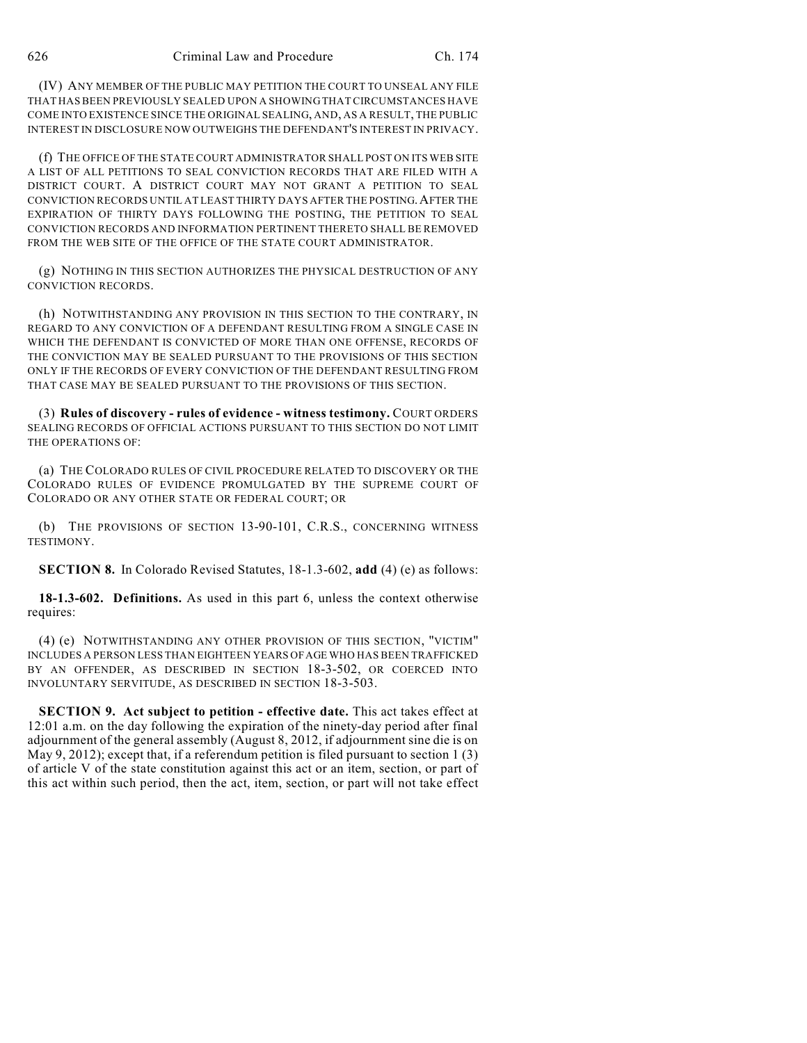(IV) ANY MEMBER OF THE PUBLIC MAY PETITION THE COURT TO UNSEAL ANY FILE THAT HAS BEEN PREVIOUSLY SEALED UPON A SHOWING THAT CIRCUMSTANCES HAVE COME INTO EXISTENCE SINCE THE ORIGINAL SEALING, AND, AS A RESULT, THE PUBLIC INTEREST IN DISCLOSURE NOW OUTWEIGHS THE DEFENDANT'S INTEREST IN PRIVACY.

(f) THE OFFICE OF THE STATE COURT ADMINISTRATOR SHALL POST ON ITS WEB SITE A LIST OF ALL PETITIONS TO SEAL CONVICTION RECORDS THAT ARE FILED WITH A DISTRICT COURT. A DISTRICT COURT MAY NOT GRANT A PETITION TO SEAL CONVICTION RECORDS UNTIL AT LEAST THIRTY DAYS AFTER THE POSTING.AFTER THE EXPIRATION OF THIRTY DAYS FOLLOWING THE POSTING, THE PETITION TO SEAL CONVICTION RECORDS AND INFORMATION PERTINENT THERETO SHALL BE REMOVED FROM THE WEB SITE OF THE OFFICE OF THE STATE COURT ADMINISTRATOR.

(g) NOTHING IN THIS SECTION AUTHORIZES THE PHYSICAL DESTRUCTION OF ANY CONVICTION RECORDS.

(h) NOTWITHSTANDING ANY PROVISION IN THIS SECTION TO THE CONTRARY, IN REGARD TO ANY CONVICTION OF A DEFENDANT RESULTING FROM A SINGLE CASE IN WHICH THE DEFENDANT IS CONVICTED OF MORE THAN ONE OFFENSE, RECORDS OF THE CONVICTION MAY BE SEALED PURSUANT TO THE PROVISIONS OF THIS SECTION ONLY IF THE RECORDS OF EVERY CONVICTION OF THE DEFENDANT RESULTING FROM THAT CASE MAY BE SEALED PURSUANT TO THE PROVISIONS OF THIS SECTION.

(3) **Rules of discovery - rules of evidence - witness testimony.** COURT ORDERS SEALING RECORDS OF OFFICIAL ACTIONS PURSUANT TO THIS SECTION DO NOT LIMIT THE OPERATIONS OF:

(a) THE COLORADO RULES OF CIVIL PROCEDURE RELATED TO DISCOVERY OR THE COLORADO RULES OF EVIDENCE PROMULGATED BY THE SUPREME COURT OF COLORADO OR ANY OTHER STATE OR FEDERAL COURT; OR

(b) THE PROVISIONS OF SECTION 13-90-101, C.R.S., CONCERNING WITNESS TESTIMONY.

**SECTION 8.** In Colorado Revised Statutes, 18-1.3-602, **add** (4) (e) as follows:

**18-1.3-602. Definitions.** As used in this part 6, unless the context otherwise requires:

(4) (e) NOTWITHSTANDING ANY OTHER PROVISION OF THIS SECTION, "VICTIM" INCLUDES A PERSON LESS THAN EIGHTEEN YEARS OFAGE WHO HAS BEEN TRAFFICKED BY AN OFFENDER, AS DESCRIBED IN SECTION 18-3-502, OR COERCED INTO INVOLUNTARY SERVITUDE, AS DESCRIBED IN SECTION 18-3-503.

**SECTION 9. Act subject to petition - effective date.** This act takes effect at 12:01 a.m. on the day following the expiration of the ninety-day period after final adjournment of the general assembly (August 8, 2012, if adjournment sine die is on May 9, 2012); except that, if a referendum petition is filed pursuant to section 1 (3) of article V of the state constitution against this act or an item, section, or part of this act within such period, then the act, item, section, or part will not take effect